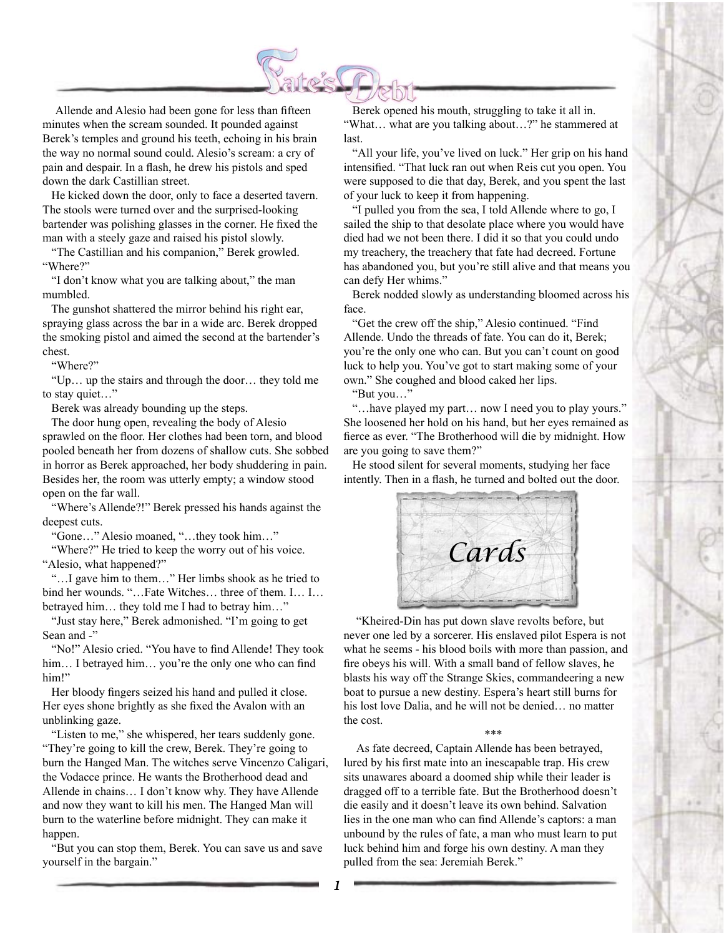

Allende and Alesio had been gone for less than fifteen minutes when the scream sounded. It pounded against Berek's temples and ground his teeth, echoing in his brain the way no normal sound could. Alesio's scream: a cry of pain and despair. In a flash, he drew his pistols and sped down the dark Castillian street.

 He kicked down the door, only to face a deserted tavern. The stools were turned over and the surprised-looking bartender was polishing glasses in the corner. He fixed the man with a steely gaze and raised his pistol slowly.

 "The Castillian and his companion," Berek growled. "Where?"

 "I don't know what you are talking about," the man mumbled.

 The gunshot shattered the mirror behind his right ear, spraying glass across the bar in a wide arc. Berek dropped the smoking pistol and aimed the second at the bartender's chest.

"Where?"

 "Up… up the stairs and through the door… they told me to stay quiet…"

Berek was already bounding up the steps.

 The door hung open, revealing the body of Alesio sprawled on the floor. Her clothes had been torn, and blood pooled beneath her from dozens of shallow cuts. She sobbed in horror as Berek approached, her body shuddering in pain. Besides her, the room was utterly empty; a window stood open on the far wall.

 "Where's Allende?!" Berek pressed his hands against the deepest cuts.

"Gone…" Alesio moaned, "…they took him…"

"Where?" He tried to keep the worry out of his voice. "Alesio, what happened?"

 "…I gave him to them…" Her limbs shook as he tried to bind her wounds. "...Fate Witches... three of them. I... I... betrayed him… they told me I had to betray him…"

 "Just stay here," Berek admonished. "I'm going to get Sean and -"

 "No!" Alesio cried. "You have to find Allende! They took him... I betrayed him... you're the only one who can find him!"

 Her bloody fingers seized his hand and pulled it close. Her eyes shone brightly as she fixed the Avalon with an unblinking gaze.

 "Listen to me," she whispered, her tears suddenly gone. "They're going to kill the crew, Berek. They're going to burn the Hanged Man. The witches serve Vincenzo Caligari, the Vodacce prince. He wants the Brotherhood dead and Allende in chains… I don't know why. They have Allende and now they want to kill his men. The Hanged Man will burn to the waterline before midnight. They can make it happen.

 "But you can stop them, Berek. You can save us and save yourself in the bargain."

 Berek opened his mouth, struggling to take it all in. "What… what are you talking about…?" he stammered at last.

 "All your life, you've lived on luck." Her grip on his hand intensified. "That luck ran out when Reis cut you open. You were supposed to die that day, Berek, and you spent the last of your luck to keep it from happening.

 "I pulled you from the sea, I told Allende where to go, I sailed the ship to that desolate place where you would have died had we not been there. I did it so that you could undo my treachery, the treachery that fate had decreed. Fortune has abandoned you, but you're still alive and that means you can defy Her whims."

 Berek nodded slowly as understanding bloomed across his face.

 "Get the crew off the ship," Alesio continued. "Find Allende. Undo the threads of fate. You can do it, Berek; you're the only one who can. But you can't count on good luck to help you. You've got to start making some of your own." She coughed and blood caked her lips.

"But you…"

 "…have played my part… now I need you to play yours." She loosened her hold on his hand, but her eyes remained as fierce as ever. "The Brotherhood will die by midnight. How are you going to save them?"

 He stood silent for several moments, studying her face intently. Then in a flash, he turned and bolted out the door.



"Kheired-Din has put down slave revolts before, but never one led by a sorcerer. His enslaved pilot Espera is not what he seems - his blood boils with more than passion, and fire obeys his will. With a small band of fellow slaves, he blasts his way off the Strange Skies, commandeering a new boat to pursue a new destiny. Espera's heart still burns for his lost love Dalia, and he will not be denied… no matter the cost.

\*\*\*

As fate decreed, Captain Allende has been betrayed, lured by his first mate into an inescapable trap. His crew sits unawares aboard a doomed ship while their leader is dragged off to a terrible fate. But the Brotherhood doesn't die easily and it doesn't leave its own behind. Salvation lies in the one man who can find Allende's captors: a man unbound by the rules of fate, a man who must learn to put luck behind him and forge his own destiny. A man they pulled from the sea: Jeremiah Berek."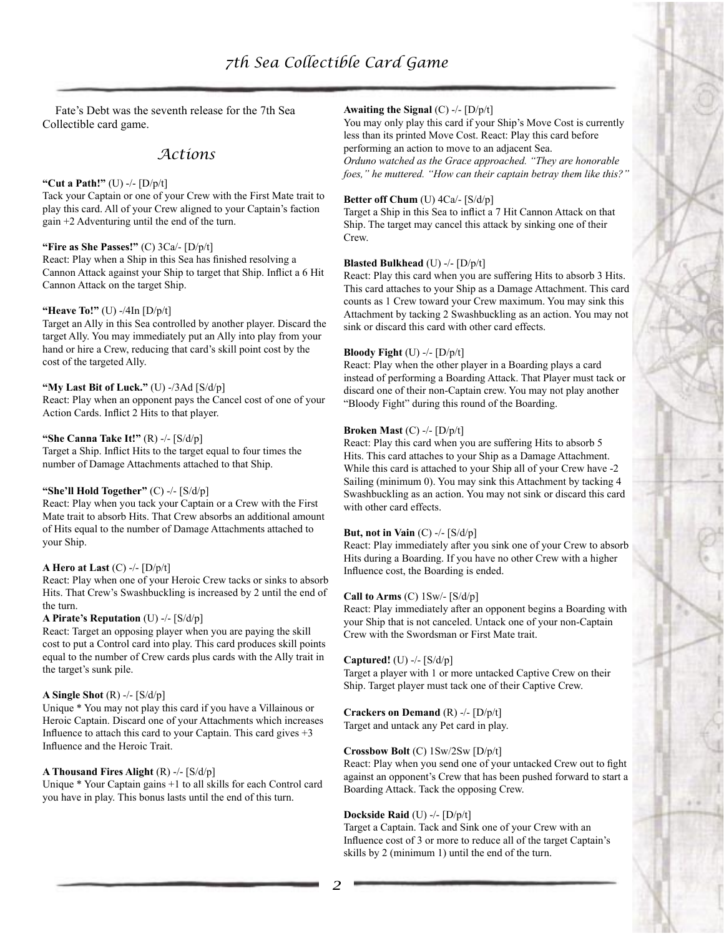Fate's Debt was the seventh release for the 7th Sea Collectible card game.

# *Actions*

#### **"Cut a Path!"** (U) -/- [D/p/t]

Tack your Captain or one of your Crew with the First Mate trait to play this card. All of your Crew aligned to your Captain's faction gain +2 Adventuring until the end of the turn.

#### **"Fire as She Passes!"** (C) 3Ca/- [D/p/t]

React: Play when a Ship in this Sea has finished resolving a Cannon Attack against your Ship to target that Ship. Inflict a 6 Hit Cannon Attack on the target Ship.

## **"Heave To!"** (U) -/4In [D/p/t]

Target an Ally in this Sea controlled by another player. Discard the target Ally. You may immediately put an Ally into play from your hand or hire a Crew, reducing that card's skill point cost by the cost of the targeted Ally.

## **"My Last Bit of Luck."** (U) -/3Ad [S/d/p]

React: Play when an opponent pays the Cancel cost of one of your Action Cards. Inflict 2 Hits to that player.

#### **"She Canna Take It!"** (R) -/- [S/d/p]

Target a Ship. Inflict Hits to the target equal to four times the number of Damage Attachments attached to that Ship.

# **"She'll Hold Together"** (C) -/- [S/d/p]

React: Play when you tack your Captain or a Crew with the First Mate trait to absorb Hits. That Crew absorbs an additional amount of Hits equal to the number of Damage Attachments attached to your Ship.

## **A Hero at Last** (C) -/- [D/p/t]

React: Play when one of your Heroic Crew tacks or sinks to absorb Hits. That Crew's Swashbuckling is increased by 2 until the end of the turn.

## **A Pirate's Reputation** (U) -/- [S/d/p]

React: Target an opposing player when you are paying the skill cost to put a Control card into play. This card produces skill points equal to the number of Crew cards plus cards with the Ally trait in the target's sunk pile.

## **A Single Shot** (R) -/- [S/d/p]

Unique \* You may not play this card if you have a Villainous or Heroic Captain. Discard one of your Attachments which increases Influence to attach this card to your Captain. This card gives  $+3$ Influence and the Heroic Trait.

## **A Thousand Fires Alight** (R) -/- [S/d/p]

Unique \* Your Captain gains +1 to all skills for each Control card you have in play. This bonus lasts until the end of this turn.

#### **Awaiting the Signal** (C) -/- [D/p/t]

You may only play this card if your Ship's Move Cost is currently less than its printed Move Cost. React: Play this card before performing an action to move to an adjacent Sea. *Orduno watched as the Grace approached. "They are honorable foes," he muttered. "How can their captain betray them like this?"*

#### **Better off Chum** (U) 4Ca/- [S/d/p]

Target a Ship in this Sea to inflict a 7 Hit Cannon Attack on that Ship. The target may cancel this attack by sinking one of their Crew.

#### **Blasted Bulkhead** (U) -/- [D/p/t]

React: Play this card when you are suffering Hits to absorb 3 Hits. This card attaches to your Ship as a Damage Attachment. This card counts as 1 Crew toward your Crew maximum. You may sink this Attachment by tacking 2 Swashbuckling as an action. You may not sink or discard this card with other card effects.

#### **Bloody Fight** (U) -/- [D/p/t]

React: Play when the other player in a Boarding plays a card instead of performing a Boarding Attack. That Player must tack or discard one of their non-Captain crew. You may not play another "Bloody Fight" during this round of the Boarding.

#### **Broken Mast** (C) -/- [D/p/t]

React: Play this card when you are suffering Hits to absorb 5 Hits. This card attaches to your Ship as a Damage Attachment. While this card is attached to your Ship all of your Crew have -2 Sailing (minimum 0). You may sink this Attachment by tacking 4 Swashbuckling as an action. You may not sink or discard this card with other card effects.

#### **But, not in Vain** (C) -/- [S/d/p]

React: Play immediately after you sink one of your Crew to absorb Hits during a Boarding. If you have no other Crew with a higher Influence cost, the Boarding is ended.

#### **Call to Arms** (C) 1Sw/- [S/d/p]

React: Play immediately after an opponent begins a Boarding with your Ship that is not canceled. Untack one of your non-Captain Crew with the Swordsman or First Mate trait.

#### **Captured!** (U) -/- [S/d/p]

Target a player with 1 or more untacked Captive Crew on their Ship. Target player must tack one of their Captive Crew.

# **Crackers on Demand** (R) -/- [D/p/t]

Target and untack any Pet card in play.

## **Crossbow Bolt** (C) 1Sw/2Sw [D/p/t]

React: Play when you send one of your untacked Crew out to fight against an opponent's Crew that has been pushed forward to start a Boarding Attack. Tack the opposing Crew.

## **Dockside Raid** (U) -/- [D/p/t]

Target a Captain. Tack and Sink one of your Crew with an Influence cost of 3 or more to reduce all of the target Captain's skills by 2 (minimum 1) until the end of the turn.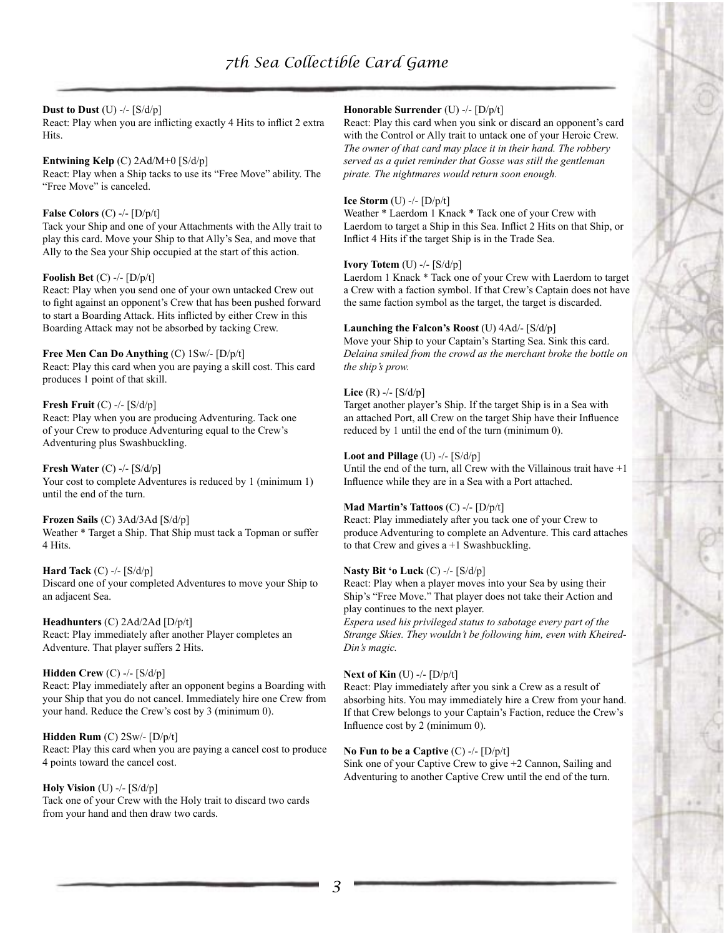## **Dust to Dust** (U) -/- [S/d/p]

React: Play when you are inflicting exactly 4 Hits to inflict 2 extra Hits.

# **Entwining Kelp** (C) 2Ad/M+0 [S/d/p]

React: Play when a Ship tacks to use its "Free Move" ability. The "Free Move" is canceled.

# **False Colors** (C) -/- [D/p/t]

Tack your Ship and one of your Attachments with the Ally trait to play this card. Move your Ship to that Ally's Sea, and move that Ally to the Sea your Ship occupied at the start of this action.

## **Foolish Bet** (C) -/- [D/p/t]

React: Play when you send one of your own untacked Crew out to fight against an opponent's Crew that has been pushed forward to start a Boarding Attack. Hits inflicted by either Crew in this Boarding Attack may not be absorbed by tacking Crew.

## **Free Men Can Do Anything** (C) 1Sw/- [D/p/t] React: Play this card when you are paying a skill cost. This card

produces 1 point of that skill.

# **Fresh Fruit** (C) -/- [S/d/p]

React: Play when you are producing Adventuring. Tack one of your Crew to produce Adventuring equal to the Crew's Adventuring plus Swashbuckling.

#### **Fresh Water** (C) -/- [S/d/p] Your cost to complete Adventures is reduced by 1 (minimum 1) until the end of the turn.

**Frozen Sails** (C) 3Ad/3Ad [S/d/p] Weather \* Target a Ship. That Ship must tack a Topman or suffer 4 Hits.

#### **Hard Tack** (C) -/- [S/d/p] Discard one of your completed Adventures to move your Ship to an adjacent Sea.

**Headhunters** (C) 2Ad/2Ad [D/p/t] React: Play immediately after another Player completes an Adventure. That player suffers 2 Hits.

# **Hidden Crew** (C) -/- [S/d/p]

React: Play immediately after an opponent begins a Boarding with your Ship that you do not cancel. Immediately hire one Crew from your hand. Reduce the Crew's cost by 3 (minimum 0).

**Hidden Rum** (C) 2Sw/- [D/p/t] React: Play this card when you are paying a cancel cost to produce 4 points toward the cancel cost.

**Holy Vision** (U) -/- [S/d/p] Tack one of your Crew with the Holy trait to discard two cards from your hand and then draw two cards.

# **Honorable Surrender** (U) -/- [D/p/t]

React: Play this card when you sink or discard an opponent's card with the Control or Ally trait to untack one of your Heroic Crew. *The owner of that card may place it in their hand. The robbery served as a quiet reminder that Gosse was still the gentleman pirate. The nightmares would return soon enough.*

## **Ice Storm** (U) -/- [D/p/t]

Weather \* Laerdom 1 Knack \* Tack one of your Crew with Laerdom to target a Ship in this Sea. Inflict 2 Hits on that Ship, or Inflict 4 Hits if the target Ship is in the Trade Sea.

## **Ivory Totem** (U) -/- [S/d/p]

Laerdom 1 Knack \* Tack one of your Crew with Laerdom to target a Crew with a faction symbol. If that Crew's Captain does not have the same faction symbol as the target, the target is discarded.

# **Launching the Falcon's Roost** (U) 4Ad/- [S/d/p]

Move your Ship to your Captain's Starting Sea. Sink this card. *Delaina smiled from the crowd as the merchant broke the bottle on the ship's prow.* 

# **Lice** (R) -/- [S/d/p]

Target another player's Ship. If the target Ship is in a Sea with an attached Port, all Crew on the target Ship have their Influence reduced by 1 until the end of the turn (minimum 0).

# **Loot and Pillage** (U) -/- [S/d/p]

Until the end of the turn, all Crew with the Villainous trait have +1 Influence while they are in a Sea with a Port attached.

# **Mad Martin's Tattoos** (C) -/- [D/p/t]

React: Play immediately after you tack one of your Crew to produce Adventuring to complete an Adventure. This card attaches to that Crew and gives  $a + 1$  Swashbuckling.

# **Nasty Bit 'o Luck** (C) -/- [S/d/p]

React: Play when a player moves into your Sea by using their Ship's "Free Move." That player does not take their Action and play continues to the next player.

*Espera used his privileged status to sabotage every part of the Strange Skies. They wouldn't be following him, even with Kheired-Din's magic.*

## **Next of Kin** (U) -/- [D/p/t]

React: Play immediately after you sink a Crew as a result of absorbing hits. You may immediately hire a Crew from your hand. If that Crew belongs to your Captain's Faction, reduce the Crew's Influence cost by 2 (minimum 0).

# **No Fun to be a Captive** (C) -/- [D/p/t]

Sink one of your Captive Crew to give +2 Cannon, Sailing and Adventuring to another Captive Crew until the end of the turn.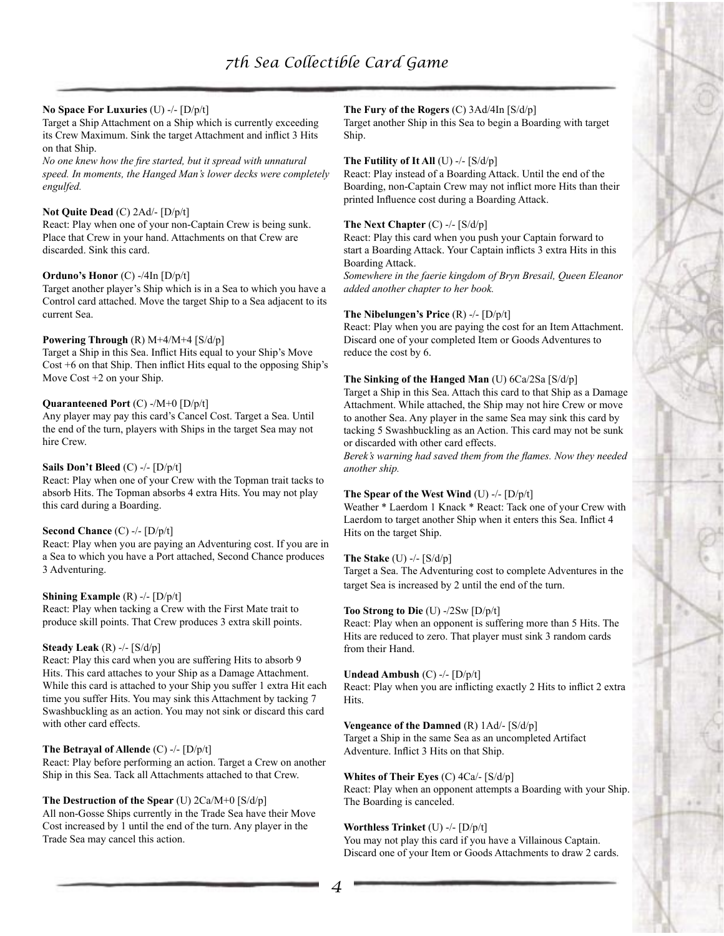## **No Space For Luxuries** (U) -/- [D/p/t]

Target a Ship Attachment on a Ship which is currently exceeding its Crew Maximum. Sink the target Attachment and inflict 3 Hits on that Ship.

*No one knew how the fire started, but it spread with unnatural speed. In moments, the Hanged Man's lower decks were completely engulfed.*

#### **Not Quite Dead** (C) 2Ad/- [D/p/t]

React: Play when one of your non-Captain Crew is being sunk. Place that Crew in your hand. Attachments on that Crew are discarded. Sink this card.

## **Orduno's Honor** (C) -/4In [D/p/t]

Target another player's Ship which is in a Sea to which you have a Control card attached. Move the target Ship to a Sea adjacent to its current Sea.

## **Powering Through** (R) M+4/M+4 [S/d/p]

Target a Ship in this Sea. Inflict Hits equal to your Ship's Move Cost +6 on that Ship. Then inflict Hits equal to the opposing Ship's Move Cost +2 on your Ship.

## **Quaranteened Port** (C) -/M+0 [D/p/t]

Any player may pay this card's Cancel Cost. Target a Sea. Until the end of the turn, players with Ships in the target Sea may not hire Crew.

#### **Sails Don't Bleed** (C) -/- [D/p/t]

React: Play when one of your Crew with the Topman trait tacks to absorb Hits. The Topman absorbs 4 extra Hits. You may not play this card during a Boarding.

## **Second Chance** (C) -/- [D/p/t]

React: Play when you are paying an Adventuring cost. If you are in a Sea to which you have a Port attached, Second Chance produces 3 Adventuring.

#### **Shining Example** (R) -/- [D/p/t]

React: Play when tacking a Crew with the First Mate trait to produce skill points. That Crew produces 3 extra skill points.

## **Steady Leak** (R) -/- [S/d/p]

React: Play this card when you are suffering Hits to absorb 9 Hits. This card attaches to your Ship as a Damage Attachment. While this card is attached to your Ship you suffer 1 extra Hit each time you suffer Hits. You may sink this Attachment by tacking 7 Swashbuckling as an action. You may not sink or discard this card with other card effects.

#### **The Betrayal of Allende** (C) -/- [D/p/t]

React: Play before performing an action. Target a Crew on another Ship in this Sea. Tack all Attachments attached to that Crew.

## **The Destruction of the Spear** (U) 2Ca/M+0 [S/d/p]

All non-Gosse Ships currently in the Trade Sea have their Move Cost increased by 1 until the end of the turn. Any player in the Trade Sea may cancel this action.

## **The Fury of the Rogers** (C) 3Ad/4In [S/d/p]

Target another Ship in this Sea to begin a Boarding with target Ship.

#### **The Futility of It All** (U) -/- [S/d/p]

React: Play instead of a Boarding Attack. Until the end of the Boarding, non-Captain Crew may not inflict more Hits than their printed Influence cost during a Boarding Attack.

#### **The Next Chapter** (C) -/- [S/d/p]

React: Play this card when you push your Captain forward to start a Boarding Attack. Your Captain inflicts 3 extra Hits in this Boarding Attack.

*Somewhere in the faerie kingdom of Bryn Bresail, Queen Eleanor added another chapter to her book.*

#### **The Nibelungen's Price** (R) -/- [D/p/t]

React: Play when you are paying the cost for an Item Attachment. Discard one of your completed Item or Goods Adventures to reduce the cost by 6.

#### **The Sinking of the Hanged Man** (U) 6Ca/2Sa [S/d/p]

Target a Ship in this Sea. Attach this card to that Ship as a Damage Attachment. While attached, the Ship may not hire Crew or move to another Sea. Any player in the same Sea may sink this card by tacking 5 Swashbuckling as an Action. This card may not be sunk or discarded with other card effects.

*Berek's warning had saved them from the flames. Now they needed another ship.*

#### **The Spear of the West Wind** (U) -/- [D/p/t]

Weather \* Laerdom 1 Knack \* React: Tack one of your Crew with Laerdom to target another Ship when it enters this Sea. Inflict 4 Hits on the target Ship.

#### **The Stake** (U) -/- [S/d/p]

Target a Sea. The Adventuring cost to complete Adventures in the target Sea is increased by 2 until the end of the turn.

## **Too Strong to Die** (U) -/2Sw [D/p/t]

React: Play when an opponent is suffering more than 5 Hits. The Hits are reduced to zero. That player must sink 3 random cards from their Hand.

## **Undead Ambush** (C) -/- [D/p/t]

React: Play when you are inflicting exactly 2 Hits to inflict 2 extra Hits.

#### **Vengeance of the Damned** (R) 1Ad/- [S/d/p]

Target a Ship in the same Sea as an uncompleted Artifact Adventure. Inflict 3 Hits on that Ship.

#### **Whites of Their Eyes** (C) 4Ca/- [S/d/p]

React: Play when an opponent attempts a Boarding with your Ship. The Boarding is canceled.

## **Worthless Trinket** (U) -/- [D/p/t]

You may not play this card if you have a Villainous Captain. Discard one of your Item or Goods Attachments to draw 2 cards.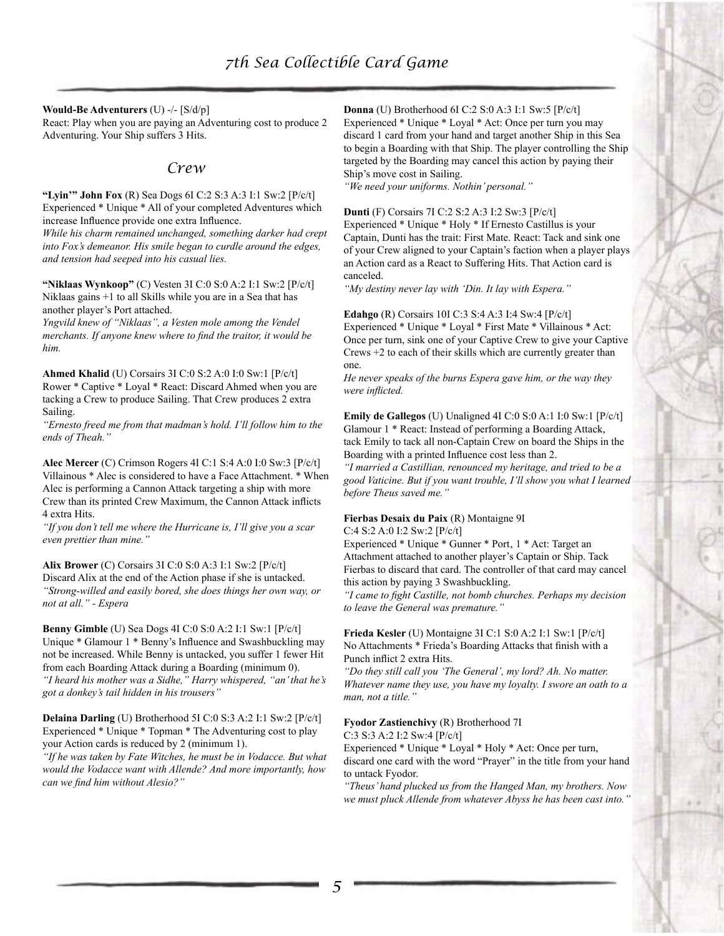**Would-Be Adventurers** (U) -/- [S/d/p] React: Play when you are paying an Adventuring cost to produce 2 Adventuring. Your Ship suffers 3 Hits.

# *Crew*

**"Lyin'" John Fox** (R) Sea Dogs 6I C:2 S:3 A:3 I:1 Sw:2 [P/c/t] Experienced \* Unique \* All of your completed Adventures which increase Influence provide one extra Influence.

*While his charm remained unchanged, something darker had crept into Fox's demeanor. His smile began to curdle around the edges, and tension had seeped into his casual lies.*

**"Niklaas Wynkoop"** (C) Vesten 3I C:0 S:0 A:2 I:1 Sw:2 [P/c/t] Niklaas gains +1 to all Skills while you are in a Sea that has another player's Port attached.

*Yngvild knew of "Niklaas", a Vesten mole among the Vendel merchants. If anyone knew where to find the traitor, it would be him.*

**Ahmed Khalid** (U) Corsairs 3I C:0 S:2 A:0 I:0 Sw:1 [P/c/t] Rower \* Captive \* Loyal \* React: Discard Ahmed when you are tacking a Crew to produce Sailing. That Crew produces 2 extra Sailing.

*"Ernesto freed me from that madman's hold. I'll follow him to the ends of Theah."*

**Alec Mercer** (C) Crimson Rogers 4I C:1 S:4 A:0 I:0 Sw:3 [P/c/t] Villainous \* Alec is considered to have a Face Attachment. \* When Alec is performing a Cannon Attack targeting a ship with more Crew than its printed Crew Maximum, the Cannon Attack inflicts 4 extra Hits.

*"If you don't tell me where the Hurricane is, I'll give you a scar even prettier than mine."*

**Alix Brower** (C) Corsairs 3I C:0 S:0 A:3 I:1 Sw:2 [P/c/t] Discard Alix at the end of the Action phase if she is untacked. *"Strong-willed and easily bored, she does things her own way, or not at all." - Espera*

**Benny Gimble** (U) Sea Dogs 4I C:0 S:0 A:2 I:1 Sw:1 [P/c/t] Unique \* Glamour 1 \* Benny's Influence and Swashbuckling may not be increased. While Benny is untacked, you suffer 1 fewer Hit from each Boarding Attack during a Boarding (minimum 0). *"I heard his mother was a Sidhe," Harry whispered, "an' that he's got a donkey's tail hidden in his trousers"*

**Delaina Darling** (U) Brotherhood 5I C:0 S:3 A:2 I:1 Sw:2 [P/c/t] Experienced \* Unique \* Topman \* The Adventuring cost to play your Action cards is reduced by 2 (minimum 1).

*"If he was taken by Fate Witches, he must be in Vodacce. But what would the Vodacce want with Allende? And more importantly, how can we find him without Alesio?"*

**Donna** (U) Brotherhood 6I C:2 S:0 A:3 I:1 Sw:5 [P/c/t] Experienced \* Unique \* Loyal \* Act: Once per turn you may discard 1 card from your hand and target another Ship in this Sea to begin a Boarding with that Ship. The player controlling the Ship targeted by the Boarding may cancel this action by paying their Ship's move cost in Sailing.

*"We need your uniforms. Nothin' personal."*

#### **Dunti** (F) Corsairs 7I C:2 S:2 A:3 I:2 Sw:3 [P/c/t]

Experienced \* Unique \* Holy \* If Ernesto Castillus is your Captain, Dunti has the trait: First Mate. React: Tack and sink one of your Crew aligned to your Captain's faction when a player plays an Action card as a React to Suffering Hits. That Action card is canceled.

*"My destiny never lay with 'Din. It lay with Espera."*

**Edahgo** (R) Corsairs 10I C:3 S:4 A:3 I:4 Sw:4 [P/c/t] Experienced \* Unique \* Loyal \* First Mate \* Villainous \* Act: Once per turn, sink one of your Captive Crew to give your Captive Crews +2 to each of their skills which are currently greater than one.

*He never speaks of the burns Espera gave him, or the way they were inflicted.*

**Emily de Gallegos** (U) Unaligned 4I C:0 S:0 A:1 I:0 Sw:1 [P/c/t] Glamour 1 \* React: Instead of performing a Boarding Attack, tack Emily to tack all non-Captain Crew on board the Ships in the Boarding with a printed Influence cost less than 2.

*"I married a Castillian, renounced my heritage, and tried to be a good Vaticine. But if you want trouble, I'll show you what I learned before Theus saved me."*

## **Fierbas Desaix du Paix** (R) Montaigne 9I

C:4 S:2 A:0 I:2 Sw:2 [P/c/t]

Experienced \* Unique \* Gunner \* Port, 1 \* Act: Target an Attachment attached to another player's Captain or Ship. Tack Fierbas to discard that card. The controller of that card may cancel this action by paying 3 Swashbuckling.

*"I came to fight Castille, not bomb churches. Perhaps my decision to leave the General was premature."*

**Frieda Kesler** (U) Montaigne 3I C:1 S:0 A:2 I:1 Sw:1 [P/c/t] No Attachments \* Frieda's Boarding Attacks that finish with a Punch inflict 2 extra Hits.

*"Do they still call you 'The General', my lord? Ah. No matter. Whatever name they use, you have my loyalty. I swore an oath to a man, not a title."*

#### **Fyodor Zastienchivy** (R) Brotherhood 7I

C:3 S:3 A:2 I:2 Sw:4 [P/c/t]

Experienced \* Unique \* Loyal \* Holy \* Act: Once per turn, discard one card with the word "Prayer" in the title from your hand to untack Fyodor.

*"Theus' hand plucked us from the Hanged Man, my brothers. Now we must pluck Allende from whatever Abyss he has been cast into."*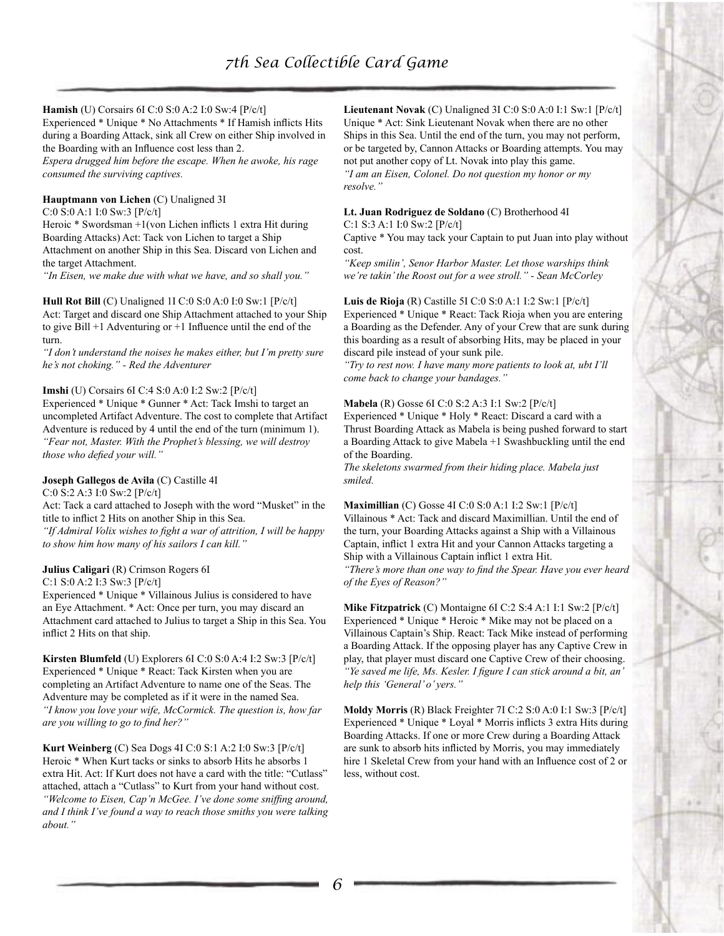## **Hamish** (U) Corsairs 6I C:0 S:0 A:2 I:0 Sw:4 [P/c/t]

Experienced \* Unique \* No Attachments \* If Hamish inflicts Hits during a Boarding Attack, sink all Crew on either Ship involved in the Boarding with an Influence cost less than 2.

*Espera drugged him before the escape. When he awoke, his rage consumed the surviving captives.*

#### **Hauptmann von Lichen** (C) Unaligned 3I

C:0 S:0 A:1 I:0 Sw:3 [P/c/t]

Heroic \* Swordsman +1(von Lichen inflicts 1 extra Hit during Boarding Attacks) Act: Tack von Lichen to target a Ship Attachment on another Ship in this Sea. Discard von Lichen and the target Attachment.

*"In Eisen, we make due with what we have, and so shall you."*

#### **Hull Rot Bill** (C) Unaligned 1I C:0 S:0 A:0 I:0 Sw:1 [P/c/t] Act: Target and discard one Ship Attachment attached to your Ship

to give Bill +1 Adventuring or +1 Influence until the end of the turn.

*"I don't understand the noises he makes either, but I'm pretty sure he's not choking." - Red the Adventurer*

## **Imshi** (U) Corsairs 6I C:4 S:0 A:0 I:2 Sw:2 [P/c/t]

Experienced \* Unique \* Gunner \* Act: Tack Imshi to target an uncompleted Artifact Adventure. The cost to complete that Artifact Adventure is reduced by 4 until the end of the turn (minimum 1). *"Fear not, Master. With the Prophet's blessing, we will destroy those who defied your will."*

## **Joseph Gallegos de Avila** (C) Castille 4I

C:0 S:2 A:3 I:0 Sw:2 [P/c/t]

Act: Tack a card attached to Joseph with the word "Musket" in the title to inflict 2 Hits on another Ship in this Sea.

*"If Admiral Volix wishes to fight a war of attrition, I will be happy to show him how many of his sailors I can kill."*

## **Julius Caligari** (R) Crimson Rogers 6I

C:1 S:0 A:2 I:3 Sw:3 [P/c/t]

Experienced \* Unique \* Villainous Julius is considered to have an Eye Attachment. \* Act: Once per turn, you may discard an Attachment card attached to Julius to target a Ship in this Sea. You inflict 2 Hits on that ship.

**Kirsten Blumfeld** (U) Explorers 6I C:0 S:0 A:4 I:2 Sw:3 [P/c/t] Experienced \* Unique \* React: Tack Kirsten when you are completing an Artifact Adventure to name one of the Seas. The Adventure may be completed as if it were in the named Sea. *"I know you love your wife, McCormick. The question is, how far are you willing to go to find her?"*

**Kurt Weinberg** (C) Sea Dogs 4I C:0 S:1 A:2 I:0 Sw:3 [P/c/t] Heroic \* When Kurt tacks or sinks to absorb Hits he absorbs 1 extra Hit. Act: If Kurt does not have a card with the title: "Cutlass" attached, attach a "Cutlass" to Kurt from your hand without cost. *"Welcome to Eisen, Cap'n McGee. I've done some sniffing around, and I think I've found a way to reach those smiths you were talking about."*

**Lieutenant Novak** (C) Unaligned 3I C:0 S:0 A:0 I:1 Sw:1 [P/c/t] Unique \* Act: Sink Lieutenant Novak when there are no other Ships in this Sea. Until the end of the turn, you may not perform, or be targeted by, Cannon Attacks or Boarding attempts. You may not put another copy of Lt. Novak into play this game. *"I am an Eisen, Colonel. Do not question my honor or my resolve."*

#### **Lt. Juan Rodriguez de Soldano** (C) Brotherhood 4I

C:1 S:3 A:1 I:0 Sw:2 [P/c/t]

Captive \* You may tack your Captain to put Juan into play without cost.

*"Keep smilin', Senor Harbor Master. Let those warships think we're takin' the Roost out for a wee stroll." - Sean McCorley*

**Luis de Rioja** (R) Castille 5I C:0 S:0 A:1 I:2 Sw:1 [P/c/t] Experienced \* Unique \* React: Tack Rioja when you are entering a Boarding as the Defender. Any of your Crew that are sunk during this boarding as a result of absorbing Hits, may be placed in your discard pile instead of your sunk pile.

*"Try to rest now. I have many more patients to look at, ubt I'll come back to change your bandages."*

## **Mabela** (R) Gosse 6I C:0 S:2 A:3 I:1 Sw:2 [P/c/t]

Experienced \* Unique \* Holy \* React: Discard a card with a Thrust Boarding Attack as Mabela is being pushed forward to start a Boarding Attack to give Mabela +1 Swashbuckling until the end of the Boarding.

*The skeletons swarmed from their hiding place. Mabela just smiled.*

# **Maximillian** (C) Gosse 4I C:0 S:0 A:1 I:2 Sw:1 [P/c/t]

Villainous \* Act: Tack and discard Maximillian. Until the end of the turn, your Boarding Attacks against a Ship with a Villainous Captain, inflict 1 extra Hit and your Cannon Attacks targeting a Ship with a Villainous Captain inflict 1 extra Hit. *"There's more than one way to find the Spear. Have you ever heard of the Eyes of Reason?"*

**Mike Fitzpatrick** (C) Montaigne 6I C:2 S:4 A:1 I:1 Sw:2 [P/c/t] Experienced \* Unique \* Heroic \* Mike may not be placed on a Villainous Captain's Ship. React: Tack Mike instead of performing a Boarding Attack. If the opposing player has any Captive Crew in play, that player must discard one Captive Crew of their choosing. *"Ye saved me life, Ms. Kesler. I figure I can stick around a bit, an' help this 'General' o' yers."*

**Moldy Morris** (R) Black Freighter 7I C:2 S:0 A:0 I:1 Sw:3 [P/c/t] Experienced \* Unique \* Loyal \* Morris inflicts 3 extra Hits during Boarding Attacks. If one or more Crew during a Boarding Attack are sunk to absorb hits inflicted by Morris, you may immediately hire 1 Skeletal Crew from your hand with an Influence cost of 2 or less, without cost.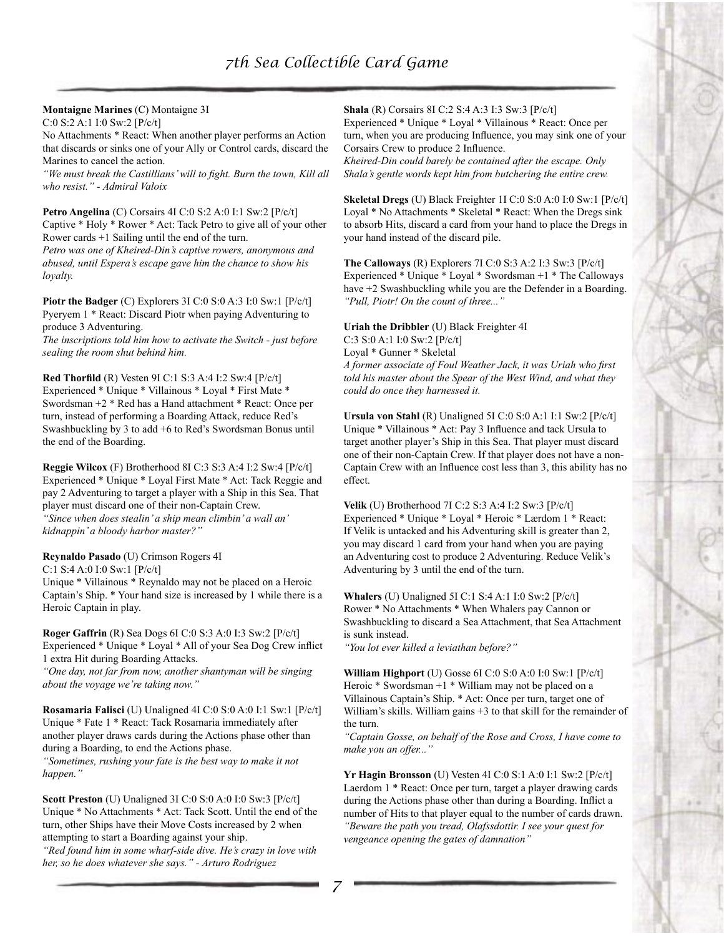# **Montaigne Marines** (C) Montaigne 3I

C:0 S:2 A:1 I:0 Sw:2 [P/c/t]

No Attachments \* React: When another player performs an Action that discards or sinks one of your Ally or Control cards, discard the Marines to cancel the action.

*"We must break the Castillians' will to fight. Burn the town, Kill all who resist." - Admiral Valoix*

**Petro Angelina** (C) Corsairs 4I C:0 S:2 A:0 I:1 Sw:2 [P/c/t] Captive \* Holy \* Rower \* Act: Tack Petro to give all of your other Rower cards +1 Sailing until the end of the turn.

*Petro was one of Kheired-Din's captive rowers, anonymous and abused, until Espera's escape gave him the chance to show his loyalty.*

**Piotr the Badger** (C) Explorers 3I C:0 S:0 A:3 I:0 Sw:1 [P/c/t] Pyeryem 1 \* React: Discard Piotr when paying Adventuring to produce 3 Adventuring.

*The inscriptions told him how to activate the Switch - just before sealing the room shut behind him.*

**Red Thorfild** (R) Vesten 9I C:1 S:3 A:4 I:2 Sw:4 [P/c/t] Experienced \* Unique \* Villainous \* Loyal \* First Mate \* Swordsman +2 \* Red has a Hand attachment \* React: Once per turn, instead of performing a Boarding Attack, reduce Red's Swashbuckling by 3 to add +6 to Red's Swordsman Bonus until the end of the Boarding.

**Reggie Wilcox** (F) Brotherhood 8I C:3 S:3 A:4 I:2 Sw:4 [P/c/t] Experienced \* Unique \* Loyal First Mate \* Act: Tack Reggie and pay 2 Adventuring to target a player with a Ship in this Sea. That player must discard one of their non-Captain Crew. *"Since when does stealin' a ship mean climbin' a wall an' kidnappin' a bloody harbor master?"*

## **Reynaldo Pasado** (U) Crimson Rogers 4I

C:1 S:4 A:0 I:0 Sw:1 [P/c/t]

Unique \* Villainous \* Reynaldo may not be placed on a Heroic Captain's Ship. \* Your hand size is increased by 1 while there is a Heroic Captain in play.

**Roger Gaffrin** (R) Sea Dogs 6I C:0 S:3 A:0 I:3 Sw:2 [P/c/t] Experienced \* Unique \* Loyal \* All of your Sea Dog Crew inflict 1 extra Hit during Boarding Attacks.

*"One day, not far from now, another shantyman will be singing about the voyage we're taking now."*

**Rosamaria Falisci** (U) Unaligned 4I C:0 S:0 A:0 I:1 Sw:1 [P/c/t] Unique \* Fate 1 \* React: Tack Rosamaria immediately after another player draws cards during the Actions phase other than during a Boarding, to end the Actions phase. *"Sometimes, rushing your fate is the best way to make it not happen."*

**Scott Preston** (U) Unaligned 3I C:0 S:0 A:0 I:0 Sw:3 [P/c/t] Unique \* No Attachments \* Act: Tack Scott. Until the end of the turn, other Ships have their Move Costs increased by 2 when attempting to start a Boarding against your ship.

*"Red found him in some wharf-side dive. He's crazy in love with her, so he does whatever she says." - Arturo Rodriguez*

**Shala** (R) Corsairs 8I C:2 S:4 A:3 I:3 Sw:3 [P/c/t]

Experienced \* Unique \* Loyal \* Villainous \* React: Once per turn, when you are producing Influence, you may sink one of your Corsairs Crew to produce 2 Influence.

*Kheired-Din could barely be contained after the escape. Only Shala's gentle words kept him from butchering the entire crew.*

**Skeletal Dregs** (U) Black Freighter 1I C:0 S:0 A:0 I:0 Sw:1 [P/c/t] Loyal \* No Attachments \* Skeletal \* React: When the Dregs sink to absorb Hits, discard a card from your hand to place the Dregs in your hand instead of the discard pile.

**The Calloways** (R) Explorers 7I C:0 S:3 A:2 I:3 Sw:3 [P/c/t] Experienced \* Unique \* Loyal \* Swordsman +1 \* The Calloways have  $+2$  Swashbuckling while you are the Defender in a Boarding. *"Pull, Piotr! On the count of three..."*

**Uriah the Dribbler** (U) Black Freighter 4I C:3 S:0 A:1 I:0 Sw:2 [P/c/t] Loyal \* Gunner \* Skeletal *A former associate of Foul Weather Jack, it was Uriah who first told his master about the Spear of the West Wind, and what they could do once they harnessed it.*

**Ursula von Stahl** (R) Unaligned 5I C:0 S:0 A:1 I:1 Sw:2 [P/c/t] Unique \* Villainous \* Act: Pay 3 Influence and tack Ursula to target another player's Ship in this Sea. That player must discard one of their non-Captain Crew. If that player does not have a non-Captain Crew with an Influence cost less than 3, this ability has no effect.

**Velik** (U) Brotherhood 7I C:2 S:3 A:4 I:2 Sw:3 [P/c/t] Experienced \* Unique \* Loyal \* Heroic \* Lærdom 1 \* React: If Velik is untacked and his Adventuring skill is greater than 2, you may discard 1 card from your hand when you are paying an Adventuring cost to produce 2 Adventuring. Reduce Velik's Adventuring by 3 until the end of the turn.

**Whalers** (U) Unaligned 5I C:1 S:4 A:1 I:0 Sw:2 [P/c/t] Rower \* No Attachments \* When Whalers pay Cannon or Swashbuckling to discard a Sea Attachment, that Sea Attachment is sunk instead.

*"You lot ever killed a leviathan before?"*

**William Highport** (U) Gosse 6I C:0 S:0 A:0 I:0 Sw:1 [P/c/t] Heroic  $*$  Swordsman  $+1$   $*$  William may not be placed on a Villainous Captain's Ship. \* Act: Once per turn, target one of William's skills. William gains  $+3$  to that skill for the remainder of the turn.

*"Captain Gosse, on behalf of the Rose and Cross, I have come to make you an offer..."*

**Yr Hagin Bronsson** (U) Vesten 4I C:0 S:1 A:0 I:1 Sw:2 [P/c/t] Laerdom 1 \* React: Once per turn, target a player drawing cards during the Actions phase other than during a Boarding. Inflict a number of Hits to that player equal to the number of cards drawn. *"Beware the path you tread, Olafssdottir. I see your quest for vengeance opening the gates of damnation"*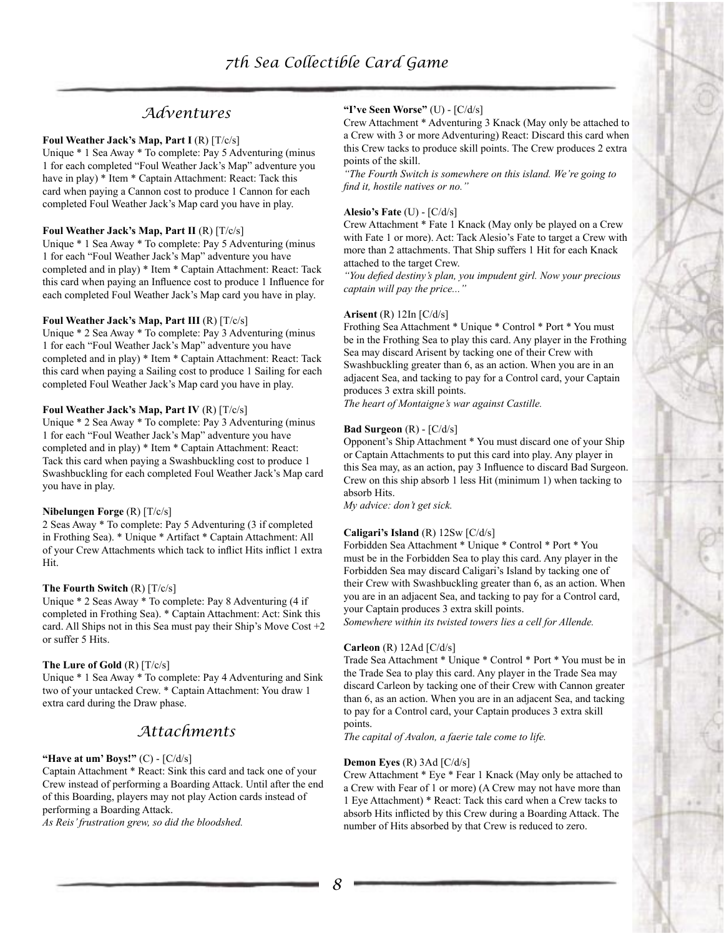# *Adventures*

#### **Foul Weather Jack's Map, Part I** (R) [T/c/s]

Unique \* 1 Sea Away \* To complete: Pay 5 Adventuring (minus 1 for each completed "Foul Weather Jack's Map" adventure you have in play) \* Item \* Captain Attachment: React: Tack this card when paying a Cannon cost to produce 1 Cannon for each completed Foul Weather Jack's Map card you have in play.

#### **Foul Weather Jack's Map, Part II** (R) [T/c/s]

Unique \* 1 Sea Away \* To complete: Pay 5 Adventuring (minus 1 for each "Foul Weather Jack's Map" adventure you have completed and in play) \* Item \* Captain Attachment: React: Tack this card when paying an Influence cost to produce 1 Influence for each completed Foul Weather Jack's Map card you have in play.

#### **Foul Weather Jack's Map, Part III** (R) [T/c/s]

Unique \* 2 Sea Away \* To complete: Pay 3 Adventuring (minus 1 for each "Foul Weather Jack's Map" adventure you have completed and in play) \* Item \* Captain Attachment: React: Tack this card when paying a Sailing cost to produce 1 Sailing for each completed Foul Weather Jack's Map card you have in play.

## **Foul Weather Jack's Map, Part IV** (R) [T/c/s]

Unique \* 2 Sea Away \* To complete: Pay 3 Adventuring (minus 1 for each "Foul Weather Jack's Map" adventure you have completed and in play) \* Item \* Captain Attachment: React: Tack this card when paying a Swashbuckling cost to produce 1 Swashbuckling for each completed Foul Weather Jack's Map card you have in play.

## **Nibelungen Forge** (R) [T/c/s]

2 Seas Away \* To complete: Pay 5 Adventuring (3 if completed in Frothing Sea). \* Unique \* Artifact \* Captain Attachment: All of your Crew Attachments which tack to inflict Hits inflict 1 extra Hit.

## **The Fourth Switch** (R) [T/c/s]

Unique \* 2 Seas Away \* To complete: Pay 8 Adventuring (4 if completed in Frothing Sea). \* Captain Attachment: Act: Sink this card. All Ships not in this Sea must pay their Ship's Move Cost  $+2$ or suffer 5 Hits.

## **The Lure of Gold** (R) [T/c/s]

Unique \* 1 Sea Away \* To complete: Pay 4 Adventuring and Sink two of your untacked Crew. \* Captain Attachment: You draw 1 extra card during the Draw phase.

# *Attachments*

#### **"Have at um' Boys!"** (C) - [C/d/s]

Captain Attachment \* React: Sink this card and tack one of your Crew instead of performing a Boarding Attack. Until after the end of this Boarding, players may not play Action cards instead of performing a Boarding Attack.

*As Reis' frustration grew, so did the bloodshed.*

## **"I've Seen Worse"** (U) - [C/d/s]

Crew Attachment \* Adventuring 3 Knack (May only be attached to a Crew with 3 or more Adventuring) React: Discard this card when this Crew tacks to produce skill points. The Crew produces 2 extra points of the skill.

*"The Fourth Switch is somewhere on this island. We're going to find it, hostile natives or no."*

#### **Alesio's Fate** (U) - [C/d/s]

Crew Attachment \* Fate 1 Knack (May only be played on a Crew with Fate 1 or more). Act: Tack Alesio's Fate to target a Crew with more than 2 attachments. That Ship suffers 1 Hit for each Knack attached to the target Crew.

*"You defied destiny's plan, you impudent girl. Now your precious captain will pay the price..."*

#### **Arisent** (R) 12In [C/d/s]

Frothing Sea Attachment \* Unique \* Control \* Port \* You must be in the Frothing Sea to play this card. Any player in the Frothing Sea may discard Arisent by tacking one of their Crew with Swashbuckling greater than 6, as an action. When you are in an adjacent Sea, and tacking to pay for a Control card, your Captain produces 3 extra skill points.

*The heart of Montaigne's war against Castille.*

#### **Bad Surgeon** (R) - [C/d/s]

Opponent's Ship Attachment \* You must discard one of your Ship or Captain Attachments to put this card into play. Any player in this Sea may, as an action, pay 3 Influence to discard Bad Surgeon. Crew on this ship absorb 1 less Hit (minimum 1) when tacking to absorb Hits.

*My advice: don't get sick.*

## **Caligari's Island** (R) 12Sw [C/d/s]

Forbidden Sea Attachment \* Unique \* Control \* Port \* You must be in the Forbidden Sea to play this card. Any player in the Forbidden Sea may discard Caligari's Island by tacking one of their Crew with Swashbuckling greater than 6, as an action. When you are in an adjacent Sea, and tacking to pay for a Control card, your Captain produces 3 extra skill points.

*Somewhere within its twisted towers lies a cell for Allende.*

#### **Carleon** (R) 12Ad [C/d/s]

Trade Sea Attachment \* Unique \* Control \* Port \* You must be in the Trade Sea to play this card. Any player in the Trade Sea may discard Carleon by tacking one of their Crew with Cannon greater than 6, as an action. When you are in an adjacent Sea, and tacking to pay for a Control card, your Captain produces 3 extra skill points.

*The capital of Avalon, a faerie tale come to life.*

#### **Demon Eyes** (R) 3Ad [C/d/s]

Crew Attachment \* Eye \* Fear 1 Knack (May only be attached to a Crew with Fear of 1 or more) (A Crew may not have more than 1 Eye Attachment) \* React: Tack this card when a Crew tacks to absorb Hits inflicted by this Crew during a Boarding Attack. The number of Hits absorbed by that Crew is reduced to zero.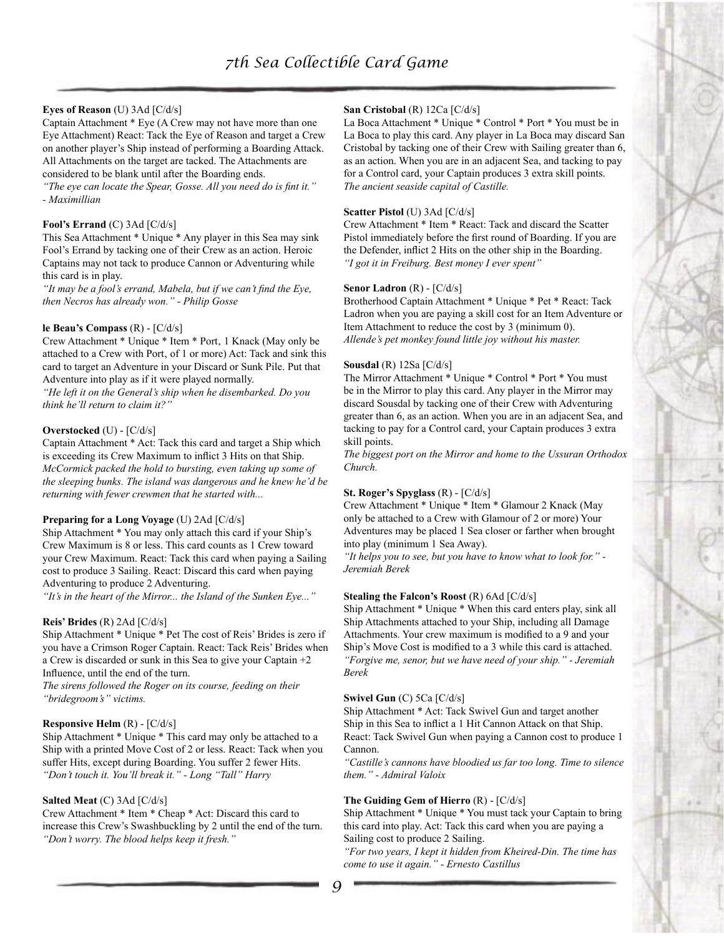## **Eyes of Reason** (U) 3Ad [C/d/s]

Captain Attachment \* Eye (A Crew may not have more than one Eye Attachment) React: Tack the Eye of Reason and target a Crew on another player's Ship instead of performing a Boarding Attack. All Attachments on the target are tacked. The Attachments are considered to be blank until after the Boarding ends.

*"The eye can locate the Spear, Gosse. All you need do is fint it." - Maximillian*

#### **Fool's Errand** (C) 3Ad [C/d/s]

This Sea Attachment \* Unique \* Any player in this Sea may sink Fool's Errand by tacking one of their Crew as an action. Heroic Captains may not tack to produce Cannon or Adventuring while this card is in play.

*"It may be a fool's errand, Mabela, but if we can't find the Eye, then Necros has already won." - Philip Gosse*

#### **le Beau's Compass** (R) - [C/d/s]

Crew Attachment \* Unique \* Item \* Port, 1 Knack (May only be attached to a Crew with Port, of 1 or more) Act: Tack and sink this card to target an Adventure in your Discard or Sunk Pile. Put that Adventure into play as if it were played normally.

*"He left it on the General's ship when he disembarked. Do you think he'll return to claim it?"*

#### **Overstocked** (U) - [C/d/s]

Captain Attachment \* Act: Tack this card and target a Ship which is exceeding its Crew Maximum to inflict 3 Hits on that Ship. *McCormick packed the hold to bursting, even taking up some of the sleeping bunks. The island was dangerous and he knew he'd be returning with fewer crewmen that he started with...*

#### **Preparing for a Long Voyage** (U) 2Ad [C/d/s]

Ship Attachment \* You may only attach this card if your Ship's Crew Maximum is 8 or less. This card counts as 1 Crew toward your Crew Maximum. React: Tack this card when paying a Sailing cost to produce 3 Sailing. React: Discard this card when paying Adventuring to produce 2 Adventuring.

*"It's in the heart of the Mirror... the Island of the Sunken Eye..."*

#### **Reis' Brides** (R) 2Ad [C/d/s]

Ship Attachment \* Unique \* Pet The cost of Reis' Brides is zero if you have a Crimson Roger Captain. React: Tack Reis' Brides when a Crew is discarded or sunk in this Sea to give your Captain +2 Influence, until the end of the turn.

*The sirens followed the Roger on its course, feeding on their "bridegroom's" victims.*

#### **Responsive Helm** (R) - [C/d/s]

Ship Attachment \* Unique \* This card may only be attached to a Ship with a printed Move Cost of 2 or less. React: Tack when you suffer Hits, except during Boarding. You suffer 2 fewer Hits. *"Don't touch it. You'll break it." - Long "Tall" Harry*

#### **Salted Meat** (C) 3Ad [C/d/s]

Crew Attachment \* Item \* Cheap \* Act: Discard this card to increase this Crew's Swashbuckling by 2 until the end of the turn. *"Don't worry. The blood helps keep it fresh."*

#### **San Cristobal** (R) 12Ca [C/d/s]

La Boca Attachment \* Unique \* Control \* Port \* You must be in La Boca to play this card. Any player in La Boca may discard San Cristobal by tacking one of their Crew with Sailing greater than 6, as an action. When you are in an adjacent Sea, and tacking to pay for a Control card, your Captain produces 3 extra skill points. *The ancient seaside capital of Castille.*

#### **Scatter Pistol** (U) 3Ad [C/d/s]

Crew Attachment \* Item \* React: Tack and discard the Scatter Pistol immediately before the first round of Boarding. If you are the Defender, inflict 2 Hits on the other ship in the Boarding. *"I got it in Freiburg. Best money I ever spent"*

## **Senor Ladron** (R) - [C/d/s]

Brotherhood Captain Attachment \* Unique \* Pet \* React: Tack Ladron when you are paying a skill cost for an Item Adventure or Item Attachment to reduce the cost by 3 (minimum 0). *Allende's pet monkey found little joy without his master.*

#### **Sousdal** (R) 12Sa [C/d/s]

The Mirror Attachment \* Unique \* Control \* Port \* You must be in the Mirror to play this card. Any player in the Mirror may discard Sousdal by tacking one of their Crew with Adventuring greater than 6, as an action. When you are in an adjacent Sea, and tacking to pay for a Control card, your Captain produces 3 extra skill points.

*The biggest port on the Mirror and home to the Ussuran Orthodox Church.*

#### **St. Roger's Spyglass** (R) - [C/d/s]

Crew Attachment \* Unique \* Item \* Glamour 2 Knack (May only be attached to a Crew with Glamour of 2 or more) Your Adventures may be placed 1 Sea closer or farther when brought into play (minimum 1 Sea Away).

*"It helps you to see, but you have to know what to look for." - Jeremiah Berek*

#### **Stealing the Falcon's Roost** (R) 6Ad [C/d/s]

Ship Attachment \* Unique \* When this card enters play, sink all Ship Attachments attached to your Ship, including all Damage Attachments. Your crew maximum is modified to a 9 and your Ship's Move Cost is modified to a 3 while this card is attached. *"Forgive me, senor, but we have need of your ship." - Jeremiah Berek*

#### **Swivel Gun** (C) 5Ca [C/d/s]

Ship Attachment \* Act: Tack Swivel Gun and target another Ship in this Sea to inflict a 1 Hit Cannon Attack on that Ship. React: Tack Swivel Gun when paying a Cannon cost to produce 1 Cannon.

*"Castille's cannons have bloodied us far too long. Time to silence them." - Admiral Valoix*

#### **The Guiding Gem of Hierro** (R) - [C/d/s]

Ship Attachment \* Unique \* You must tack your Captain to bring this card into play. Act: Tack this card when you are paying a Sailing cost to produce 2 Sailing.

*"For two years, I kept it hidden from Kheired-Din. The time has come to use it again." - Ernesto Castillus*